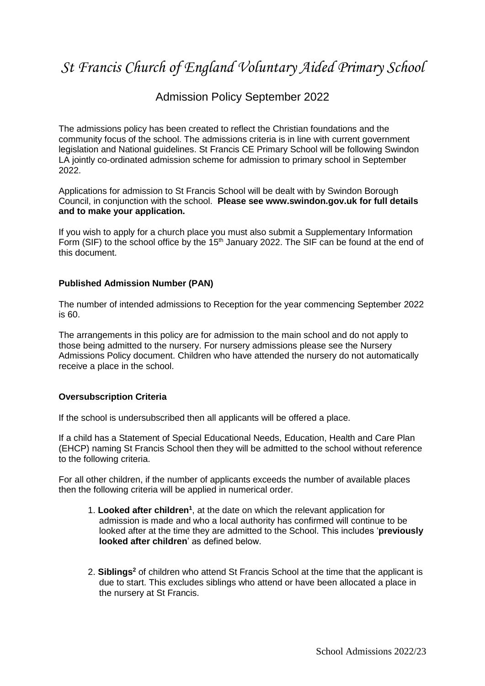# *St Francis Church of England Voluntary Aided Primary School*

### Admission Policy September 2022

The admissions policy has been created to reflect the Christian foundations and the community focus of the school. The admissions criteria is in line with current government legislation and National guidelines. St Francis CE Primary School will be following Swindon LA jointly co-ordinated admission scheme for admission to primary school in September 2022.

Applications for admission to St Francis School will be dealt with by Swindon Borough Council, in conjunction with the school. **Please see www.swindon.gov.uk for full details and to make your application.** 

If you wish to apply for a church place you must also submit a Supplementary Information Form (SIF) to the school office by the  $15<sup>th</sup>$  January 2022. The SIF can be found at the end of this document.

#### **Published Admission Number (PAN)**

The number of intended admissions to Reception for the year commencing September 2022 is 60.

The arrangements in this policy are for admission to the main school and do not apply to those being admitted to the nursery. For nursery admissions please see the Nursery Admissions Policy document. Children who have attended the nursery do not automatically receive a place in the school.

#### **Oversubscription Criteria**

If the school is undersubscribed then all applicants will be offered a place.

If a child has a Statement of Special Educational Needs, Education, Health and Care Plan (EHCP) naming St Francis School then they will be admitted to the school without reference to the following criteria.

For all other children, if the number of applicants exceeds the number of available places then the following criteria will be applied in numerical order.

- 1. **Looked after children<sup>1</sup>** , at the date on which the relevant application for admission is made and who a local authority has confirmed will continue to be looked after at the time they are admitted to the School. This includes '**previously looked after children**' as defined below.
- 2. **Siblings<sup>2</sup>** of children who attend St Francis School at the time that the applicant is due to start. This excludes siblings who attend or have been allocated a place in the nursery at St Francis.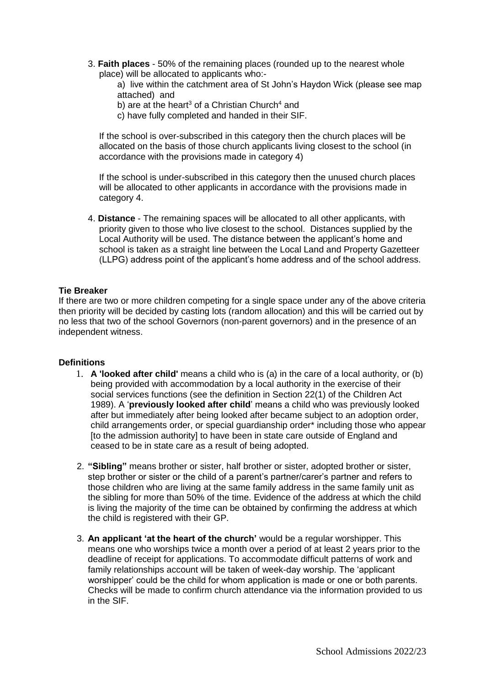3. **Faith places** - 50% of the remaining places (rounded up to the nearest whole place) will be allocated to applicants who:-

a) live within the catchment area of St John's Haydon Wick (please see map attached) and

- b) are at the heart<sup>3</sup> of a Christian Church<sup>4</sup> and
- c) have fully completed and handed in their SIF.

If the school is over-subscribed in this category then the church places will be allocated on the basis of those church applicants living closest to the school (in accordance with the provisions made in category 4)

If the school is under-subscribed in this category then the unused church places will be allocated to other applicants in accordance with the provisions made in category 4.

4. **Distance** - The remaining spaces will be allocated to all other applicants, with priority given to those who live closest to the school. Distances supplied by the Local Authority will be used. The distance between the applicant's home and school is taken as a straight line between the Local Land and Property Gazetteer (LLPG) address point of the applicant's home address and of the school address.

#### **Tie Breaker**

If there are two or more children competing for a single space under any of the above criteria then priority will be decided by casting lots (random allocation) and this will be carried out by no less that two of the school Governors (non-parent governors) and in the presence of an independent witness.

#### **Definitions**

- 1. **A 'looked after child'** means a child who is (a) in the care of a local authority, or (b) being provided with accommodation by a local authority in the exercise of their social services functions (see the definition in Section 22(1) of the Children Act 1989). A '**previously looked after child**' means a child who was previously looked after but immediately after being looked after became subject to an adoption order, child arrangements order, or special guardianship order\* including those who appear [to the admission authority] to have been in state care outside of England and ceased to be in state care as a result of being adopted.
- 2. **"Sibling"** means brother or sister, half brother or sister, adopted brother or sister, step brother or sister or the child of a parent's partner/carer's partner and refers to those children who are living at the same family address in the same family unit as the sibling for more than 50% of the time. Evidence of the address at which the child is living the majority of the time can be obtained by confirming the address at which the child is registered with their GP.
- 3. **An applicant 'at the heart of the church'** would be a regular worshipper. This means one who worships twice a month over a period of at least 2 years prior to the deadline of receipt for applications. To accommodate difficult patterns of work and family relationships account will be taken of week-day worship. The 'applicant worshipper' could be the child for whom application is made or one or both parents. Checks will be made to confirm church attendance via the information provided to us in the SIF.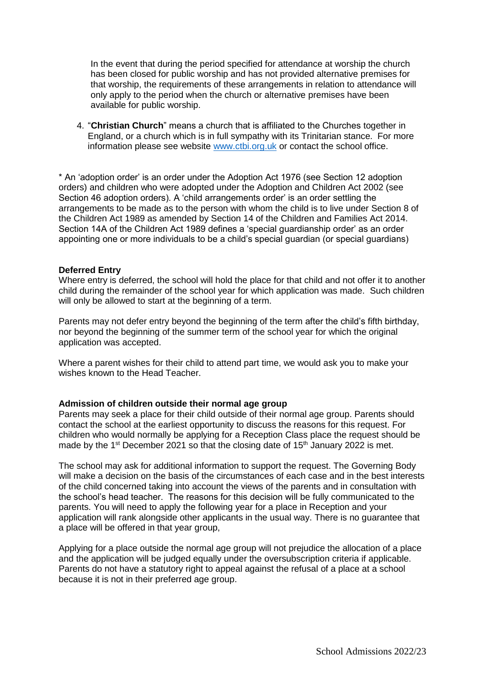In the event that during the period specified for attendance at worship the church has been closed for public worship and has not provided alternative premises for that worship, the requirements of these arrangements in relation to attendance will only apply to the period when the church or alternative premises have been available for public worship.

4. "**Christian Church**" means a church that is affiliated to the Churches together in England, or a church which is in full sympathy with its Trinitarian stance. For more information please see website [www.ctbi.org.uk](http://www.ctbi.org.uk/) or contact the school office.

\* An 'adoption order' is an order under the Adoption Act 1976 (see Section 12 adoption orders) and children who were adopted under the Adoption and Children Act 2002 (see Section 46 adoption orders). A 'child arrangements order' is an order settling the arrangements to be made as to the person with whom the child is to live under Section 8 of the Children Act 1989 as amended by Section 14 of the Children and Families Act 2014. Section 14A of the Children Act 1989 defines a 'special guardianship order' as an order appointing one or more individuals to be a child's special guardian (or special guardians)

#### **Deferred Entry**

Where entry is deferred, the school will hold the place for that child and not offer it to another child during the remainder of the school year for which application was made. Such children will only be allowed to start at the beginning of a term.

Parents may not defer entry beyond the beginning of the term after the child's fifth birthday, nor beyond the beginning of the summer term of the school year for which the original application was accepted.

Where a parent wishes for their child to attend part time, we would ask you to make your wishes known to the Head Teacher.

#### **Admission of children outside their normal age group**

Parents may seek a place for their child outside of their normal age group. Parents should contact the school at the earliest opportunity to discuss the reasons for this request. For children who would normally be applying for a Reception Class place the request should be made by the  $1<sup>st</sup>$  December 2021 so that the closing date of  $15<sup>th</sup>$  January 2022 is met.

The school may ask for additional information to support the request. The Governing Body will make a decision on the basis of the circumstances of each case and in the best interests of the child concerned taking into account the views of the parents and in consultation with the school's head teacher. The reasons for this decision will be fully communicated to the parents. You will need to apply the following year for a place in Reception and your application will rank alongside other applicants in the usual way. There is no guarantee that a place will be offered in that year group,

Applying for a place outside the normal age group will not prejudice the allocation of a place and the application will be judged equally under the oversubscription criteria if applicable. Parents do not have a statutory right to appeal against the refusal of a place at a school because it is not in their preferred age group.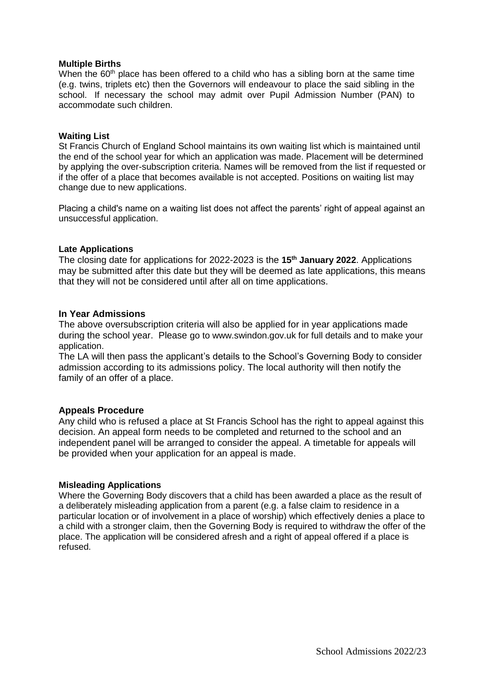#### **Multiple Births**

When the  $60<sup>th</sup>$  place has been offered to a child who has a sibling born at the same time (e.g. twins, triplets etc) then the Governors will endeavour to place the said sibling in the school. If necessary the school may admit over Pupil Admission Number (PAN) to accommodate such children.

#### **Waiting List**

St Francis Church of England School maintains its own waiting list which is maintained until the end of the school year for which an application was made. Placement will be determined by applying the over-subscription criteria. Names will be removed from the list if requested or if the offer of a place that becomes available is not accepted. Positions on waiting list may change due to new applications.

Placing a child's name on a waiting list does not affect the parents' right of appeal against an unsuccessful application.

#### **Late Applications**

The closing date for applications for 2022-2023 is the **15th January 2022**. Applications may be submitted after this date but they will be deemed as late applications, this means that they will not be considered until after all on time applications.

#### **In Year Admissions**

The above oversubscription criteria will also be applied for in year applications made during the school year. Please go to www.swindon.gov.uk for full details and to make your application.

The LA will then pass the applicant's details to the School's Governing Body to consider admission according to its admissions policy. The local authority will then notify the family of an offer of a place.

#### **Appeals Procedure**

Any child who is refused a place at St Francis School has the right to appeal against this decision. An appeal form needs to be completed and returned to the school and an independent panel will be arranged to consider the appeal. A timetable for appeals will be provided when your application for an appeal is made.

#### **Misleading Applications**

Where the Governing Body discovers that a child has been awarded a place as the result of a deliberately misleading application from a parent (e.g. a false claim to residence in a particular location or of involvement in a place of worship) which effectively denies a place to a child with a stronger claim, then the Governing Body is required to withdraw the offer of the place. The application will be considered afresh and a right of appeal offered if a place is refused.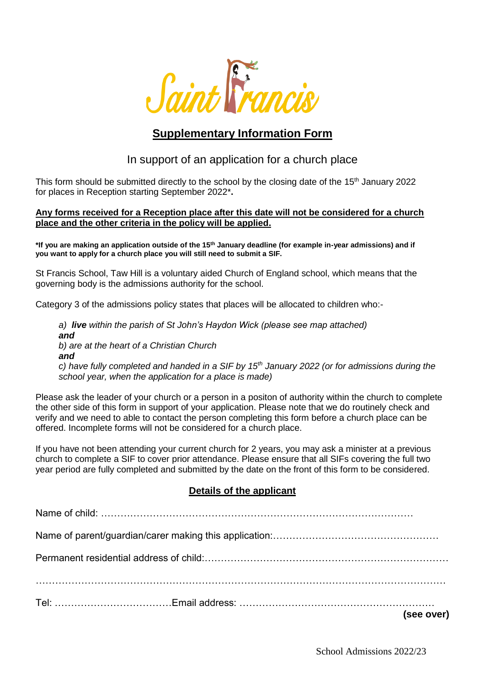

# **Supplementary Information Form**

## In support of an application for a church place

This form should be submitted directly to the school by the closing date of the  $15<sup>th</sup>$  January 2022 for places in Reception starting September 2022\***.** 

#### **Any forms received for a Reception place after this date will not be considered for a church place and the other criteria in the policy will be applied.**

**\*If you are making an application outside of the 15th January deadline (for example in-year admissions) and if you want to apply for a church place you will still need to submit a SIF.** 

St Francis School, Taw Hill is a voluntary aided Church of England school, which means that the governing body is the admissions authority for the school.

Category 3 of the admissions policy states that places will be allocated to children who:-

*a) live within the parish of St John's Haydon Wick (please see map attached) and b) are at the heart of a Christian Church and c) have fully completed and handed in a SIF by 15th January 2022 (or for admissions during the school year, when the application for a place is made)*

Please ask the leader of your church or a person in a positon of authority within the church to complete the other side of this form in support of your application. Please note that we do routinely check and verify and we need to able to contact the person completing this form before a church place can be offered. Incomplete forms will not be considered for a church place.

If you have not been attending your current church for 2 years, you may ask a minister at a previous church to complete a SIF to cover prior attendance. Please ensure that all SIFs covering the full two year period are fully completed and submitted by the date on the front of this form to be considered.

#### **Details of the applicant**

|  | (see over) |
|--|------------|
|  |            |
|  |            |
|  |            |
|  |            |
|  |            |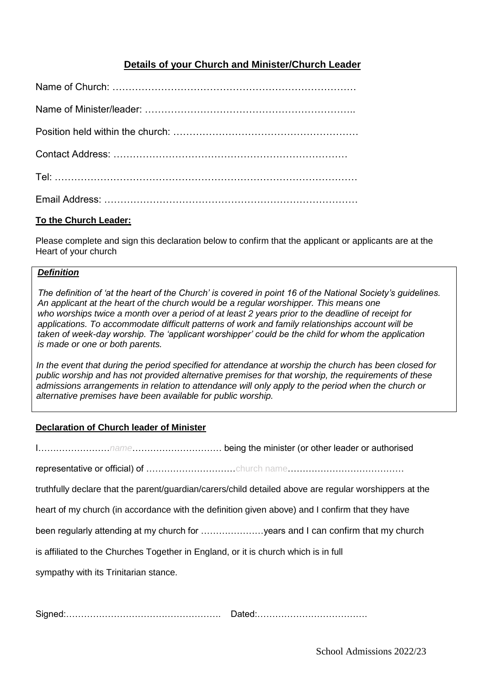### **Details of your Church and Minister/Church Leader**

#### **To the Church Leader:**

Please complete and sign this declaration below to confirm that the applicant or applicants are at the Heart of your church

#### *Definition*

*The definition of 'at the heart of the Church' is covered in point 16 of the National Society's guidelines. An applicant at the heart of the church would be a regular worshipper. This means one who worships twice a month over a period of at least 2 years prior to the deadline of receipt for applications. To accommodate difficult patterns of work and family relationships account will be taken of week-day worship. The 'applicant worshipper' could be the child for whom the application is made or one or both parents.*

*In the event that during the period specified for attendance at worship the church has been closed for public worship and has not provided alternative premises for that worship, the requirements of these admissions arrangements in relation to attendance will only apply to the period when the church or alternative premises have been available for public worship.*

#### **Declaration of Church leader of Minister**

|                                                                                     | truthfully declare that the parent/guardian/carers/child detailed above are regular worshippers at the |
|-------------------------------------------------------------------------------------|--------------------------------------------------------------------------------------------------------|
|                                                                                     | heart of my church (in accordance with the definition given above) and I confirm that they have        |
|                                                                                     | been regularly attending at my church for years and I can confirm that my church                       |
| is affiliated to the Churches Together in England, or it is church which is in full |                                                                                                        |
| sympathy with its Trinitarian stance.                                               |                                                                                                        |
|                                                                                     |                                                                                                        |

Signed:……………………………………………. Dated:……………………………….